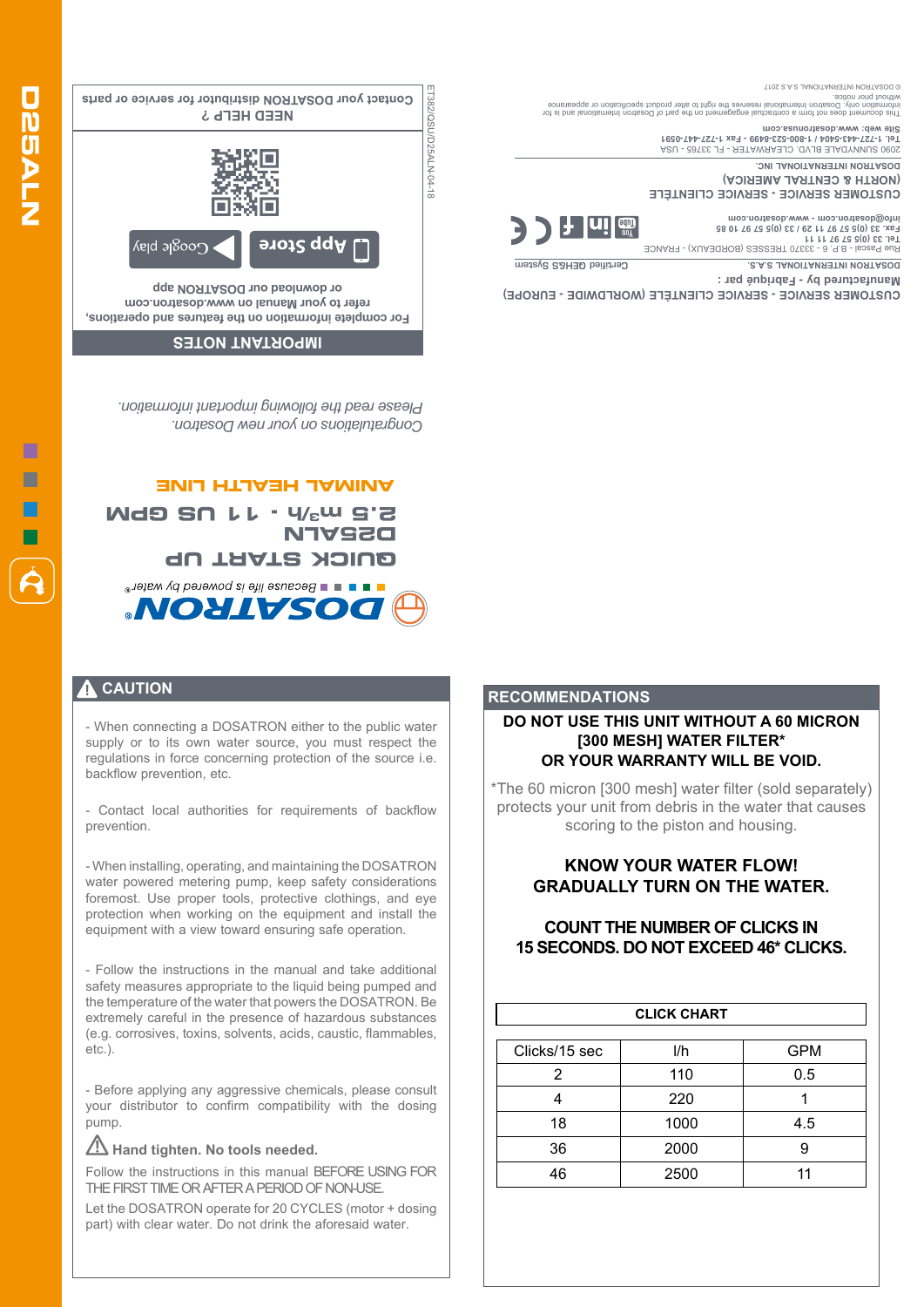ET382/QSU/D25ALN-04-18 **Contact your DOSATRON distributor for service or parts** T382/QSU/D25ALN-04-18 **NEED HELP ?**  Coogle play **App Store** 

**For complete information on the features and operations, refer to your Manual on www.dosatron.com or download our DOSATRON app**

#### **IMPORTANT NOTES**

*Congratulations on your new Dosatron. Please read the following important information.*

### **ANIMAL HEALTH LINE**

**/h - 11 US GPM <sup>3</sup> 2.5 m D25ALN QUICK START UP E E E Because intersponding to your mater NOYTASOQ** 

#### **CAUTION**

- When connecting a DOSATRON either to the public water supply or to its own water source, you must respect the regulations in force concerning protection of the source i.e. backflow prevention, etc.

- Contact local authorities for requirements of backflow prevention.

- When installing, operating, and maintaining the DOSATRON water powered metering pump, keep safety considerations foremost. Use proper tools, protective clothings, and eye protection when working on the equipment and install the equipment with a view toward ensuring safe operation.

- Follow the instructions in the manual and take additional safety measures appropriate to the liquid being pumped and the temperature of the water that powers the DOSATRON. Be extremely careful in the presence of hazardous substances (e.g. corrosives, toxins, solvents, acids, caustic, flammables, etc.).

- Before applying any aggressive chemicals, please consult your distributor to confirm compatibility with the dosing pump.

### Hand tighten. No tools needed.

Follow the instructions in this manual BEFORE USING FOR THE FIRST TIME OR AFTER A PERIOD OF NON-USE.

Let the DOSATRON operate for 20 CYCLES (motor + dosing part) with clear water. Do not drink the aforesaid water.

#### **DO NOT USE THIS UNIT WITHOUT A 60 MICRON [300 MESH] WATER FILTER\* OR YOUR WARRANTY WILL BE VOID.**

\*The 60 micron [300 mesh] water filter (sold separately) protects your unit from debris in the water that causes scoring to the piston and housing.

## **KNOW YOUR WATER FLOW! GRADUALLY TURN ON THE WATER.**

# **COUNT THE NUMBER OF CLICKS IN 15 SECONDS. DO NOT EXCEED 46\* CLICKS.**

| <b>CLICK CHART</b> |      |            |
|--------------------|------|------------|
| Clicks/15 sec      | l/h  | <b>GPM</b> |
| 2                  | 110  | 0.5        |
|                    | 220  |            |
| 18                 | 1000 | 4.5        |
| 36                 | 2000 | 9          |
| 46                 | 2500 | 11         |

This document does not form a contractual engagement on the part of Dosatron International and is for information only. Dosatron International reserves the right to alter product specification or appearance

DOSATRON INTERNATIONAL S.A.S. **CERTIFIED STATES** System

**CUSTOMER SERVICE - SERVICE CLIENTÈLE (WORLDWIDE - EUROPE)**

**CUSTOMER SERVICE - SERVICE CLIENTÈLE** 

Rue Pascal - B.P. 6 - 33370 TRESSES (BORDEAUX) - FRANCE **Tel. 33 (0)5 57 97 11 11**

2090 SUNNYDALE BLVD. CLEARWATER - FL 33765 - USA **Tel. 1-727-443-5404 / 1-800-523-8499 - Fax 1-727-447-0591**

without prior notice.

© DOSATRON INTERNATIONAL S.A.S 2017

**Site web: www.dosatronusa.com**

**(NORTH & CENTRAL AMERICA) DOSATRON INTERNATIONAL INC.**

**Fax. 33 (0)5 57 97 11 29 / 33 (0)5 57 97 10 85 info@dosatron.com - www.dosatron.com**

**Manufactured by - Fabriqué par :** 

**RECOMMENDATIONS**

 $\|$ u! $\|$   $_{\textrm{\tiny{min}}^{600}}$